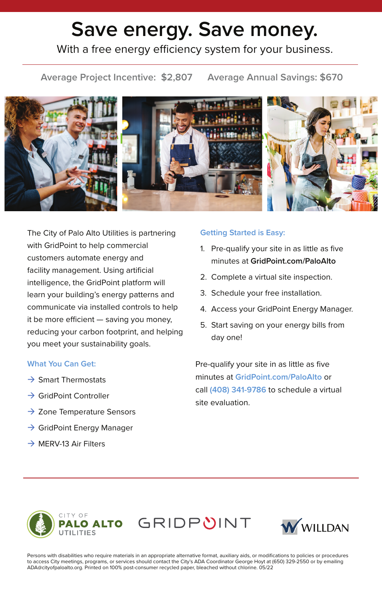## **Save energy. Save money.**  With a free energy efficiency system for your business.

**Average Project Incentive: \$2,807 Average Annual Savings: \$670**



The City of Palo Alto Utilities is partnering with GridPoint to help commercial customers automate energy and facility management. Using artificial intelligence, the GridPoint platform will learn your building's energy patterns and communicate via installed controls to help it be more efficient — saving you money, reducing your carbon footprint, and helping you meet your sustainability goals.

## **What You Can Get:**

- $\rightarrow$  Smart Thermostats
- $\rightarrow$  GridPoint Controller
- $\rightarrow$  Zone Temperature Sensors
- $\rightarrow$  GridPoint Energy Manager
- $\rightarrow$  MERV-13 Air Filters

## **Getting Started is Easy:**

- 1. Pre-qualify your site in as little as five minutes at **GridPoint.com/PaloAlto**
- 2. Complete a virtual site inspection.
- 3. Schedule your free installation.
- 4. Access your GridPoint Energy Manager.
- 5. Start saving on your energy bills from day one!

Pre-qualify your site in as little as five minutes at **GridPoint.com/PaloAlto** or call **(408) 341-9786** to schedule a virtual site evaluation.





Persons with disabilities who require materials in an appropriate alternative format, auxiliary aids, or modifications to policies or procedures to access City meetings, programs, or services should contact the City's ADA Coordinator George Hoyt at (650) 329-2550 or by emailing ADA@cityofpaloalto.org. Printed on 100% post-consumer recycled paper, bleached without chlorine. 05/22